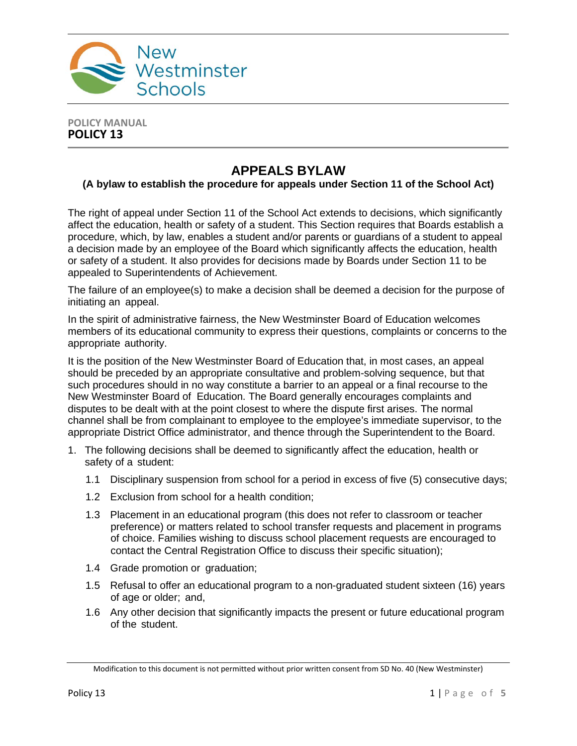

#### **POLICY MANUAL POLICY 13**

# **APPEALS BYLAW**

### **(A bylaw to establish the procedure for appeals under Section 11 of the School Act)**

The right of appeal under Section 11 of the School Act extends to decisions, which significantly affect the education, health or safety of a student. This Section requires that Boards establish a procedure, which, by law, enables a student and/or parents or guardians of a student to appeal a decision made by an employee of the Board which significantly affects the education, health or safety of a student. It also provides for decisions made by Boards under Section 11 to be appealed to Superintendents of Achievement.

The failure of an employee(s) to make a decision shall be deemed a decision for the purpose of initiating an appeal.

In the spirit of administrative fairness, the New Westminster Board of Education welcomes members of its educational community to express their questions, complaints or concerns to the appropriate authority.

It is the position of the New Westminster Board of Education that, in most cases, an appeal should be preceded by an appropriate consultative and problem-solving sequence, but that such procedures should in no way constitute a barrier to an appeal or a final recourse to the New Westminster Board of Education. The Board generally encourages complaints and disputes to be dealt with at the point closest to where the dispute first arises. The normal channel shall be from complainant to employee to the employee's immediate supervisor, to the appropriate District Office administrator, and thence through the Superintendent to the Board.

- 1. The following decisions shall be deemed to significantly affect the education, health or safety of a student:
	- 1.1 Disciplinary suspension from school for a period in excess of five (5) consecutive days;
	- 1.2 Exclusion from school for a health condition;
	- 1.3 Placement in an educational program (this does not refer to classroom or teacher preference) or matters related to school transfer requests and placement in programs of choice. Families wishing to discuss school placement requests are encouraged to contact the Central Registration Office to discuss their specific situation);
	- 1.4 Grade promotion or graduation;
	- 1.5 Refusal to offer an educational program to a non-graduated student sixteen (16) years of age or older; and,
	- 1.6 Any other decision that significantly impacts the present or future educational program of the student.

Modification to this document is not permitted without prior written consent from SD No. 40 (New Westminster)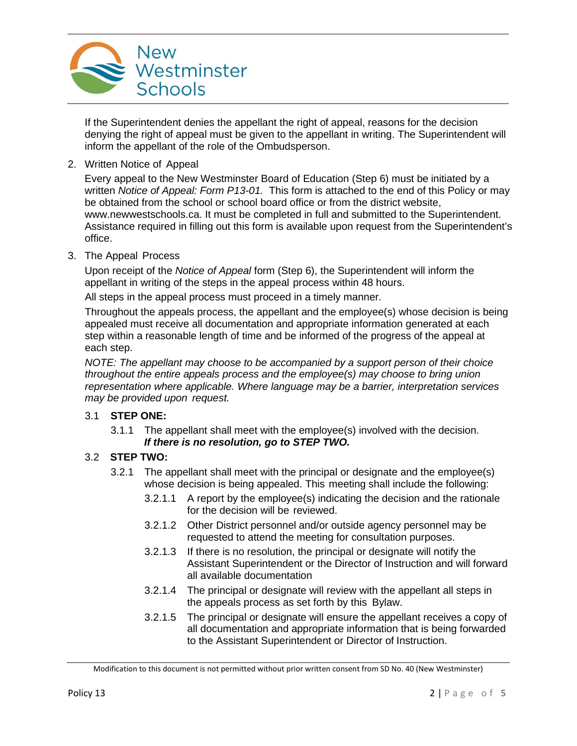

If the Superintendent denies the appellant the right of appeal, reasons for the decision denying the right of appeal must be given to the appellant in writing. The Superintendent will inform the appellant of the role of the Ombudsperson.

2. Written Notice of Appeal

Every appeal to the New Westminster Board of Education (Step 6) must be initiated by a written *Notice of Appeal: Form P13-01.* This form is attached to the end of this Policy or may be obtained from the school or school board office or from the district website, www.newwestschools.ca. It must be completed in full and submitted to the Superintendent. Assistance required in filling out this form is available upon request from the Superintendent's office.

3. The Appeal Process

Upon receipt of the *Notice of Appeal* form (Step 6), the Superintendent will inform the appellant in writing of the steps in the appeal process within 48 hours.

All steps in the appeal process must proceed in a timely manner.

Throughout the appeals process, the appellant and the employee(s) whose decision is being appealed must receive all documentation and appropriate information generated at each step within a reasonable length of time and be informed of the progress of the appeal at each step.

*NOTE: The appellant may choose to be accompanied by a support person of their choice throughout the entire appeals process and the employee(s) may choose to bring union representation where applicable. Where language may be a barrier, interpretation services may be provided upon request.*

#### 3.1 **STEP ONE:**

3.1.1 The appellant shall meet with the employee(s) involved with the decision. *If there is no resolution, go to STEP TWO.*

#### 3.2 **STEP TWO:**

- 3.2.1 The appellant shall meet with the principal or designate and the employee(s) whose decision is being appealed. This meeting shall include the following:
	- 3.2.1.1 A report by the employee(s) indicating the decision and the rationale for the decision will be reviewed.
	- 3.2.1.2 Other District personnel and/or outside agency personnel may be requested to attend the meeting for consultation purposes.
	- 3.2.1.3 If there is no resolution, the principal or designate will notify the Assistant Superintendent or the Director of Instruction and will forward all available documentation
	- 3.2.1.4 The principal or designate will review with the appellant all steps in the appeals process as set forth by this Bylaw.
	- 3.2.1.5 The principal or designate will ensure the appellant receives a copy of all documentation and appropriate information that is being forwarded to the Assistant Superintendent or Director of Instruction.

Modification to this document is not permitted without prior written consent from SD No. 40 (New Westminster)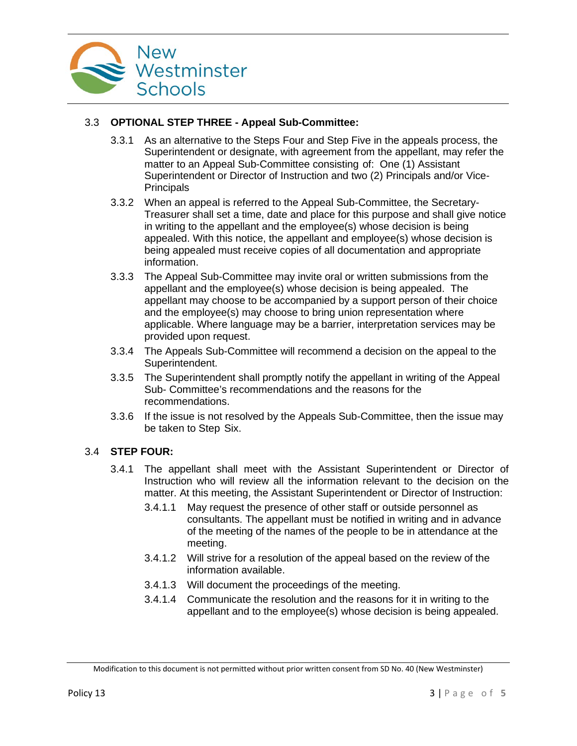

# 3.3 **OPTIONAL STEP THREE - Appeal Sub-Committee:**

- 3.3.1 As an alternative to the Steps Four and Step Five in the appeals process, the Superintendent or designate, with agreement from the appellant, may refer the matter to an Appeal Sub-Committee consisting of: One (1) Assistant Superintendent or Director of Instruction and two (2) Principals and/or Vice-**Principals**
- 3.3.2 When an appeal is referred to the Appeal Sub-Committee, the Secretary-Treasurer shall set a time, date and place for this purpose and shall give notice in writing to the appellant and the employee(s) whose decision is being appealed. With this notice, the appellant and employee(s) whose decision is being appealed must receive copies of all documentation and appropriate information.
- 3.3.3 The Appeal Sub-Committee may invite oral or written submissions from the appellant and the employee(s) whose decision is being appealed. The appellant may choose to be accompanied by a support person of their choice and the employee(s) may choose to bring union representation where applicable. Where language may be a barrier, interpretation services may be provided upon request.
- 3.3.4 The Appeals Sub-Committee will recommend a decision on the appeal to the Superintendent.
- 3.3.5 The Superintendent shall promptly notify the appellant in writing of the Appeal Sub- Committee's recommendations and the reasons for the recommendations.
- 3.3.6 If the issue is not resolved by the Appeals Sub-Committee, then the issue may be taken to Step Six.

#### 3.4 **STEP FOUR:**

- 3.4.1 The appellant shall meet with the Assistant Superintendent or Director of Instruction who will review all the information relevant to the decision on the matter. At this meeting, the Assistant Superintendent or Director of Instruction:
	- 3.4.1.1 May request the presence of other staff or outside personnel as consultants. The appellant must be notified in writing and in advance of the meeting of the names of the people to be in attendance at the meeting.
	- 3.4.1.2 Will strive for a resolution of the appeal based on the review of the information available.
	- 3.4.1.3 Will document the proceedings of the meeting.
	- 3.4.1.4 Communicate the resolution and the reasons for it in writing to the appellant and to the employee(s) whose decision is being appealed.

Modification to this document is not permitted without prior written consent from SD No. 40 (New Westminster)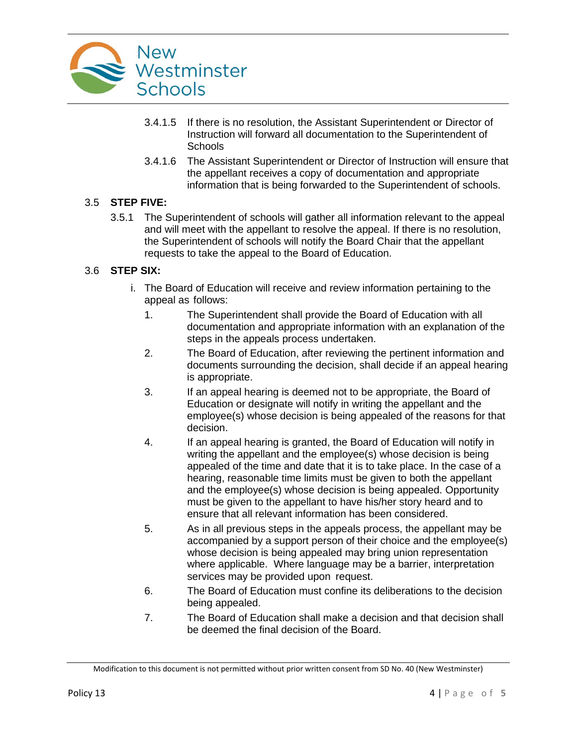

- 3.4.1.5 If there is no resolution, the Assistant Superintendent or Director of Instruction will forward all documentation to the Superintendent of **Schools**
- 3.4.1.6 The Assistant Superintendent or Director of Instruction will ensure that the appellant receives a copy of documentation and appropriate information that is being forwarded to the Superintendent of schools.

#### 3.5 **STEP FIVE:**

3.5.1 The Superintendent of schools will gather all information relevant to the appeal and will meet with the appellant to resolve the appeal. If there is no resolution, the Superintendent of schools will notify the Board Chair that the appellant requests to take the appeal to the Board of Education.

# 3.6 **STEP SIX:**

- i. The Board of Education will receive and review information pertaining to the appeal as follows:
	- 1. The Superintendent shall provide the Board of Education with all documentation and appropriate information with an explanation of the steps in the appeals process undertaken.
	- 2. The Board of Education, after reviewing the pertinent information and documents surrounding the decision, shall decide if an appeal hearing is appropriate.
	- 3. If an appeal hearing is deemed not to be appropriate, the Board of Education or designate will notify in writing the appellant and the employee(s) whose decision is being appealed of the reasons for that decision.
	- 4. If an appeal hearing is granted, the Board of Education will notify in writing the appellant and the employee(s) whose decision is being appealed of the time and date that it is to take place. In the case of a hearing, reasonable time limits must be given to both the appellant and the employee(s) whose decision is being appealed. Opportunity must be given to the appellant to have his/her story heard and to ensure that all relevant information has been considered.
	- 5. As in all previous steps in the appeals process, the appellant may be accompanied by a support person of their choice and the employee(s) whose decision is being appealed may bring union representation where applicable. Where language may be a barrier, interpretation services may be provided upon request.
	- 6. The Board of Education must confine its deliberations to the decision being appealed.
	- 7. The Board of Education shall make a decision and that decision shall be deemed the final decision of the Board.

Modification to this document is not permitted without prior written consent from SD No. 40 (New Westminster)